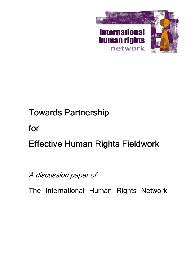

# **Towards Partnership**

### for

## **Effective Human Rights Fieldwork**

A discussion paper of

The International Human Rights Network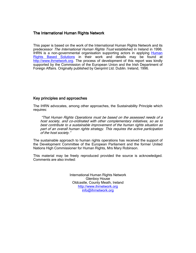#### The International Human Rights Network

This paper is based on the work of the International Human Rights Network and its predecessor The International Human Rights Trust established in Ireland in 1996. IHRN is a non-governmental organisation supporting actors in applying Human Rights Based Solutions in their work and details may be found at http://www.ihrnetwork.org. The process of development of this report was kindly supported by the Commission of the European Union and the Irish Department of Foreign Affairs. Originally published by Genprint Ltd. Dublin. Ireland, 1996.

#### Key principles and approaches

The IHRN advocates, among other approaches, the Sustainability Principle which requires:

"That Human Rights Operations must be based on the assessed needs of a host society, and co-ordinated with other complementary initiatives, so as to best contribute to a sustainable improvement of the human rights situation as part of an overall human rights strategy. This requires the active participation of the host society."

The sustainable approach to human rights operations has received the support of the Development Committee of the European Parliament and the former United Nations High Commissioner for Human Rights, Mrs Mary Robinson.

This material may be freely reproduced provided the source is acknowledged. Comments are also invited:

> International Human Rights Network **Glenboy House** Oldcastle, County Meath, Ireland http://www.ihrnetwork.org info@ihrnetwork.org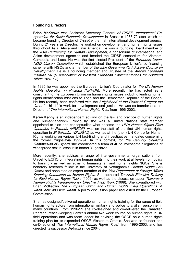#### **Founding Directors**

Brian McKeown was Assistant Secretary General of CIDSE, International Cooperation for Socio-Economic Development in Brussels 1968-72 after which he became founding Director of *Trocaire*, the Irish international development agency. During 21 years as Director, he worked on development and human rights issues throughout Asia, Africa and Latin America. He was a founding Board member of the *Asia Partnership for Human Development*, a consortium of international and Asian development agencies and headed the CIDSE consortium for Vietnam, Cambodia and Laos. He was the first elected President of the *European Union*-NGO Liaison Committee which established the European Union's co-financing scheme with NGOs and a member of the *Irish Government's Advisory Council on* Development. He is a founding member and Trustee of the *African European* Institute (AEI)- Association of Western European Parliamentarians for Southern Africa (AWEPA).

In 1995 he was appointed the European Union's Coordinator for *the UN Human* Rights Operation in Rwanda (HRFOR). More recently, he has acted as a consultant to the European Union on human rights issues including leading human rights identification missions to Togo and the Democratic Republic of the Congo. He has recently been conferred with the *Knighthood of the Order of Gregory the* Great for his life's work for development and justice. He was co-founder and co-Director of The International Human Rights Trust from 1996-2003.

Karen Kenny is an independent advisor on the law and practice of human rights and humanitarianism. Previously she was a United Nations staff member appointed to plan and conceptualise what became the UN's Human Rights Field *Operation in Rwanda (HRFOR)*, was on the staff of the first UN human rights operation in El Salvador (ONUSAL) as well as at the (then) UN Centre for Human Rights working on various UN fact-finding and investigative mandates concerning the former Yugoslavia 1992-94. In this context, for the Security Council's *Commission of Experts* she coordinated a team of 40 to investigate allegations of widespread sexual assault in former Yugoslavia.

More recently, she advises a range of inter-governmental organisations from Unicef to ECHO on integrating human rights into their work at all levels from policy to training - as well as advising humanitarian and human rights NGOs. She is honorary research fellow in the University of Nottingham's Human Rights Law Centre and appointed as expert member of the *Irish Department of Foreign Affairs* Standing Committee on Human Rights. She authored Towards Effective Training for Field Human Rights Tasks (1996) as well as the discussion paper Towards a Human Rights Partnership for Effective Field Work (1998). She co-authored with Brian McKeown The European Union and Human Rights Field Operations: if, when, how and with whom, a policy discussion paper requested by the European Commission.

She has designed/delivered operational human rights training for the range of field human rights actors from international military and police to civilian personnel in many countries. From 1996-99 she co-designed and co-delivered the Canadian Pearson Peace-Keeping Centre's annual two week course on human rights in UN field operations and was team leader for advising the OSCE on a human rights training plan for its expanded OSCE Mission to Croatia. She was co-founder and co-Director of The International Human Rights Trust from 1995-2003, and has directed its successor Network since 2004.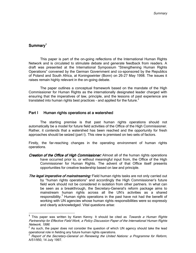#### Summary<sup>1</sup>

This paper is part of the on-going reflections of the International Human Rights Network and is circulated to stimulate debate and generate feedback from readers. A draft was presented at the International Symposium "Strengthening Human Rights Operations" convened by the German Government and co-sponsored by the Republics of Poland and South Africa, at Koningswinter (Bonn) on 26-27 May 1998. The issues it raises remain highly relevant in the on-going debate.

The paper outlines a conceptual framework based on the mandate of the High Commissioner for Human Rights as the internationally designated leader charged with ensuring that the imperatives of law, principle, and the lessons of past experience are translated into human rights best practices - and applied for the future. $2^2$ 

#### Part I Human rights operations at a watershed

The starting premise is that past human rights operations should not automatically be a model for future field activities of the Office of the High Commissioner. Rather, it contends that a watershed has been reached and the opportunity for fresh approaches should be seized (part I). This view is premised on two sets of factors.

Firstly, the far-reaching changes in the operating environment of human rights operations.

- Creation of the Office of High Commissioner: Almost all of the human rights operations have occurred prior to, or without meaningful input from, the Office of the High Commissioner for Human Rights. The advent of that Office itself presents opportunities for creative leadership based on law and principle.
- The legal imperative of mainstreaming: Field human rights tasks are not only carried out by "human rights operations" and accordingly the High Commissioner's future field work should not be considered in isolation from other partners. In what can be seen as a breakthrough, the Secretary-General's reform package aims to mainstream human rights across all the UN's activities as a shared responsibility.<sup>3</sup> Human rights operations in the past have not had the benefit of working with UN agencies whose human rights responsibilities were so expressly and clearly acknowledged. Vital questions arise:

<sup>&</sup>lt;sup>1</sup> This paper was written by Karen Kenny. It should be cited as *Towards a Human Rights* Partnership for Effective Field Work, a Policy Discussion Paper of the International Human Rights Network, 1996.

As such, the paper does not consider the question of which UN agency should take the lead operational role in fielding any future human rights operations.

Report of the Secretary-General on Renewing the United Nations: a Programme for Reform, A/51/950, 14 July 1997.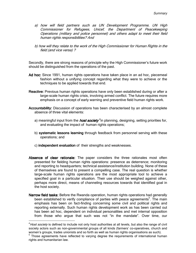- a) how will field partners such as UN Development Programme, UN High Commissioner for Refugees, Unicef, the Department of Peacekeeping Operations (military and police personnel) and others adapt to meet their field human rights responsibilities? And
- b) how will they relate to the work of the High Commissioner for Human Rights in the field (and vice versa) ?

Secondly, there are strong reasons of principle why the High Commissioner's future work should be distinguished from the operations of the past.

- Ad hoc: Since 1991, human rights operations have taken place in an ad hoc, piecemeal fashion without a unifying concept regarding what they were to achieve or the techniques to be applied towards that end.
- Reactive: Previous human rights operations have only been established during or after a large-scale human rights crisis, involving armed conflict. The future requires more emphasis on a concept of early warning and preventive field human rights work.
- Accountability: Discussion of operations has been characterised by an almost complete absence of three vital elements:
	- a) meaningful input from the *host society* <sup>4</sup> in planning, designing, setting priorities for, and evaluating the impact of human rights operations;
	- b) systematic lessons learning through feedback from personnel serving with these operations; and
	- c) independent evaluation of their strengths and weaknesses.
- Absence of clear rationale: The paper considers the three rationales most often presented for fielding human rights operations; presence as deterrence; monitoring and reporting to headquarters; technical assistance/institution building. None of these of themselves are found to present a compelling case. The real question is whether large-scale human rights operations are the most appropriate tool to achieve a specified goal in a particular situation. Their use should be weighed against other, perhaps more direct, means of channeling resources towards that identified goal in the host society.
- Narrow field tasks: Before the Rwanda operation, human rights operations had generally been established to verify compliance of parties with peace agreements<sup>5</sup>. The main emphasis has been on fact-finding concerning some civil and political rights and reporting externally. Such human rights development work as has been carried out has been ad hoc, dependent on individual personalities and met internal opposition from those who argue that such was not "in the mandate". Over time, our

<sup>&</sup>lt;sup>4</sup>Host society is defined to include not only host authorities at all levels, but also the range of civil society actors such as non-governmental groups of all kinds (farmers' co-operatives, church and women's groups, trades unionists and so forth as well as human rights organisations as such).

<sup>&</sup>lt;sup>5</sup> Those agreements have reflected to varying degree the requirements of international human rights and humanitarian law.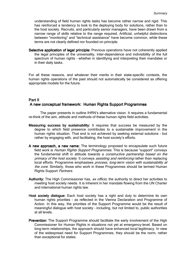understanding of field human rights tasks has become rather narrow and rigid. This has reinforced a tendency to look to the deploying body for solutions, rather than to the host society. Recruits, and particularly senior managers, have been drawn from a narrow range of skills relative to the range required. Artificial, unhelpful distinctions between "monitoring" and "technical assistance" have become common, while these terms are not clearly defined nor founded on principle.

Selective application of legal principle: Previous operations have not coherently applied the legal principles of the universality, inter-dependence and indivisibility of the full spectrum of human rights - whether in identifying and interpreting their mandates or in their daily tasks.

For all these reasons, and whatever their merits in their state-specific contexts, the human rights operations of the past should not automatically be considered as offering appropriate models for the future.

#### Part II

#### A new conceptual framework: Human Rights Support Programmes

The paper presents in outline IHRN's alternative vision. It requires a fundamental re-think of the aim, attitude and methods of these human rights field activities.

- Measuring success by sustainability: It requires that success be measured by the degree to which field presence contributes to a sustainable improvement in the human rights situation. That end is not achieved by seeking external solutions - but rather by engaging with, and facilitating, the host society's efforts.
- A new approach, a new name: The terminology proposed to encapsulate such future field work is *Human Rights Support Programmes*. This is because "support" conveys the fundamental shift in attitude towards a constructive partnership based on the primacy of the host society. It conveys assisting and reinforcing rather than replacing local efforts. Programme emphasises process, long-term vision with sustainability at the core. Similarly, those who work in these Programmes should be termed Human Rights Support Partners.
- Authority: The High Commissioner has, ex officio, the authority to direct her activities to meeting host society needs. It is inherent in her mandate flowing from the UN Charter and international human rights law.
- Host society dialogue: Each host society has a right and duty to determine its own human rights priorities - as reflected in the Vienna Declaration and Programme of Action. In this way, the priorities of the Support Programme would be the result of meaningful dialogue with host society - including, but not limited to, public authorities at all levels.
- Prevention: The Support Programme should facilitate the early involvement of the High Commissioner for Human Rights in situations not yet at emergency-level. Based on long-term relationships, the approach should have enhanced local legitimacy. In view of the widespread need for Support Programmes, they should be the norm, rather than exceptional for states.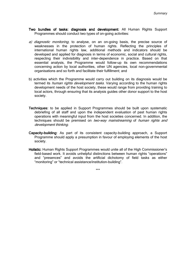- Two bundles of tasks: diagnosis and development: All Human Rights Support Programmes should conduct two types of on-going activities:
- a) diagnostic monitoring, to analyse, on an on-going basis, the precise source of weaknesses in the protection of human rights. Reflecting the principles of international human rights law, additional methods and indicators should be developed and applied for diagnosis in terms of economic, social and cultural rights, respecting their indivisibility and inter-dependence in practice. Based on that essential analysis, the Programme would follow-up its own recommendations concerning action by local authorities, other UN agencies, local non-governmental organisations and so forth and facilitate their fulfillment; and
- b) activities which the Programme would carry out building on its diagnosis would be termed its *human rights development tasks*. Varying according to the human rights development needs of the host society, these would range from providing training to local actors, through ensuring that its analysis guides other donor support to the host society.
- Techniques: to be applied in Support Programmes should be built upon systematic debriefing of all staff and upon the independent evaluation of past human rights operations with meaningful input from the host societies concerned. In addition, the techniques should be premised on two-way mainstreaming of human rights and development thinking.
- Capacity-building: As part of its consistent capacity-building approach, a Support Programme should apply a presumption in favour of employing elements of the host society.
- Holistic: Human Rights Support Programmes would unite all of the High Commissioner's field-based work. It avoids unhelpful distinctions between human rights "operations" and "presences" and avoids the artificial dichotomy of field tasks as either "monitoring" or "technical assistance/institution-building".

 $***$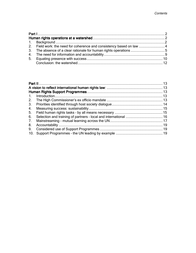|  | 2. Field work: the need for coherence and consistency based on law 4 |  |
|--|----------------------------------------------------------------------|--|
|  |                                                                      |  |
|  |                                                                      |  |
|  |                                                                      |  |
|  |                                                                      |  |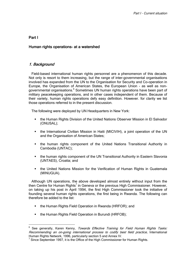#### Part I

#### Human rights operations- at a watershed

#### 1. Background

Field-based international human rights personnel are a phenomenon of this decade. Not only is resort to them increasing, but the range of inter-governmental organisations involved has expanded from the UN to the Organisation for Security and Co-operation in Europe, the Organisation of American States, the European Union - as well as nongovernmental organisations.<sup>6</sup> Sometimes UN human rights operations have been part of military peacekeeping operations, and in other cases independent of them. Because of their variety, human rights operations defy easy definition. However. for clarity we list those operations referred to in the present discussion.

The following were deployed by UN Headquarters in New York:

- the Human Rights Division of the United Nations Observer Mission in El Salvador (ONUSAL);
- the International Civilian Mission in Haiti (MICIVIH), a joint operation of the UN and the Organisation of American States;
- the human rights component of the United Nations Transitional Authority in Cambodia (UNTAC);
- the human rights component of the UN Transitional Authority in Eastern Slavonia (UNTAES), Croatia; and
- the United Nations Mission for the Verification of Human Rights in Guatemala (MINUGUA).

Although UN operations, the above developed almost entirely without input from the then Centre for Human Rights<sup>7</sup> in Geneva or the previous High Commissioner. However, on taking up his post in April 1994, the first High Commissioner took the initiative of founding several human rights operations, the first being in Rwanda. The following can therefore be added to the list:

- the Human Rights Field Operation in Rwanda (HRFOR); and
- the Human Rights Field Operation in Burundi (HRFOB);

<sup>6</sup> See generally, Karen Kenny, Towards Effective Training for Field Human Rights Tasks: Recommending an on-going international process to codify best field practice, International Human Rights Network, 1996, particularly section 5 and Annex IV.

 $17$  Since September 1997, it is the Office of the High Commissioner for Human Rights.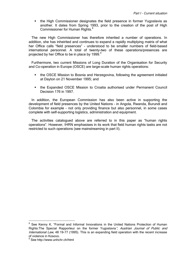• the High Commissioner designates the field presence in former Yugoslavia as another. It dates from Spring 1993, prior to the creation of the post of High Commissioner for Human Rights.<sup>8</sup>

The new High Commissioner has therefore inherited a number of operations. In addition, she has inheirited and continues to expand a rapidly multiplying matrix of what her Office calls "field presences" - understood to be smaller numbers of field-based international personnel. A total of twenty-two of these operations/presences are projected by her Office to be in place by 1999.

Furthermore, two current Missions of Long Duration of the Organisation for Security and Co-operation in Europe (OSCE) are large-scale human rights operations:

- the OSCE Mission to Bosnia and Herzegovina, following the agreement initialed at Dayton on 21 November 1995; and
- the Expanded OSCE Mission to Croatia authorised under Permanent Council Decision 176 in 1997.

In addition, the European Commission has also been active in supporting the development of field presences by the United Nations - in Angola, Rwanda, Burundi and Colombia for example - not only providing finance but also personnel, in some cases complete with self-supporting logistics, administration and equipment.

The activities catalogued above are referred to in this paper as "human rights" operations". However, IHRN emphasises in its work that field human rights tasks are not restricted to such operations (see mainstreaming in part II).

<sup>&</sup>lt;sup>8</sup> See Kenny K, "Formal and Informal Innovations in the United Nations Protection of Human Rights: The Special Rapporteur on the former Yugoslavia", Austrian Journal of Public and International Law, 48 19-77 (1995). This is an expanding field operation with the recent increase of violence in Kosovo.

<sup>&</sup>lt;sup>9</sup> See http://www.unhchr.ch/html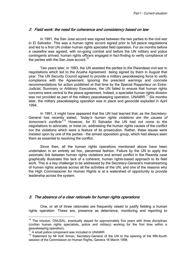#### 2. Field work: the need for coherence and consistency based on law

In 1991, the San Jose accord was signed between the two parties to the civil war in El Salvador. This was a human rights accord signed prior to full peace negotiations and led to a first UN civilian human rights specialist field operation. For six months before a ceasefire was agreed, with on-going combat and before the UN military and police contingents arrived, human rights officers engaged in fact-finding to verify compliance of the parties with the San Jose accord.<sup>10</sup>

Two years later, in 1993, the UN assisted the parties to the Rwandese civil war in negotiations which led to the Arusha Agreement being signed by them in August that year. The UN Security Council agreed to provide a military peacekeeping force to verify compliance with the Agreement. Ignoring the prescient warnings and concrete recommendations for action published at that time by the Special Rapporteur on Extra-Judicial, Summary or Arbitrary Executions, the UN failed to ensure that human rights concerns were central to the peace agreement. Indeed, a specialist human rights division was not provided as part of the military peacekeeping operation. UNAMIR.<sup>11</sup> Six months later, the military peacekeeping operation was in place and genocide exploded in April 1994.

In 1991, it might have appeared that the UN had learned that, as the Secretary-General has recently stated, "today's human rights violations are the causes of tomorrow's conflicts".<sup>12</sup> However, for El Salvador the UN had not come to the negotiations to advocate, or insist on, addressing the human rights causes of the conflict nor the violations which were a feature of its prosecution. Rather, these issues were insisted upon by one of the parties - the armed opposition group, which had always seen them as essential to resolving the conflict.

Since then, all the human rights operations mentioned above have been undertaken in an entirely ad hoc, piecemeal fashion. Failure by the UN to apply the axiomatic link between human rights violations and armed conflict in the Rwanda case graphically illustrates this lack of a coherent, human rights-based approach to its field work. This is a key challenge to be addressed by the Secretary-General's mainstreaming of human rights analysis across all the activities of the UN, and one of the reasons why the High Commissioner for Human Rights is at a watershed of opportunity to provide leadership across the system.

#### 3. The absence of a clear rationale for human rights operations

One, or all of three rationales are frequently raised to justify fielding a human rights operation. These are, presence as deterrence, monitoring and reporting to

<sup>&</sup>lt;sup>10</sup> The mission, ONUSAL, eventually stayed for approximately five years with three disciplines (civilian human rights specialists, police and military) working for the first time within a peacekeeping operation).

A small police component was included in UNAMIR.

<sup>&</sup>lt;sup>12</sup> Statement by Mr Kofi Annan, Secretary-General of the UN to the opening of the fifth-fourth session of the Commission on Human Rights, Geneva 16 March 1998.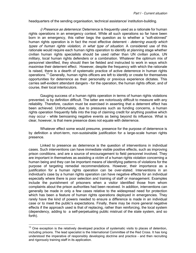headquarters of the sending organisation, technical assistance/ institution-building.

*i) Presence as deterrence:* Deterrence is frequently used as a rationale for human rights operations in an emergency context. While all such operations so far have been born in an emergency, this rather begs the question as to whether a "soft-skinned" human rights operation is in fact the most effective deterrent - deterring exactly which types of human rights violation, in what type of situation. A considered use of this rationale would require each human rights operation to identify at planning stage whether civilian human rights specialists should be used rather than UN civilian police, UN military, local human rights defenders or a combination. Whatever the optimum mix of personnel identified, they should then be fielded and instructed to work in ways which maximise their deterrent effect. However, despite the frequency with which the rationale is raised, there is a dearth of systematic practice of active deterrence in human rights operations.<sup>13</sup> Generally, human rights officers are left to identify or create for themselves opportunities for deterrence as their personality or previous experience dictates. This carries self-evident attendant dangers - for the operation, the human rights officer, and of course, their local interlocutors.

Gauging success of a human rights operation in terms of human rights violations prevented, is by definition difficult. The latter are notoriously difficult to measure with any reliability. Therefore, caution must be exercised in asserting that a deterrent effect has been achieved. Unfortunately, due to pressures such as funding concerns, a human rights operation frequently falls into the trap of claiming credit for anything positive which may occur - while bemoaning negative events as being beyond its influence. What is clear, however, is that mere presence does not equate with deterrence.

Whatever effect some would presume, presence for the purpose of deterrence is by definition a short-term, non-sustainable justification for a large-scale human rights presence.

Linked to presence as deterrence is the question of interventions in individual cases. Such interventions can have immediate visible positive effects, such as improving prison conditions, and are a source of encouragement to field personnel involved. They are important in themselves as assisting a victim of a human rights violation concerning a human being and they can be important means of identifying patterns of violations for the purpose of targeting remedial recommendations. However, their importance as a justification for a human rights operation can be over-stated. Interventions in an individual's case by a human rights operation can have negative effects for an individual especially where there is poor selection and training of staff or management. Examples include the punishment of prisoners when a visitor identified those from whom complaints about the prison authorities had been received. In addition, interventions can generally be made in only a few cases relative to the widespread need for protection which has been a feature of human rights operations deployed in emergencies. They rarely have the kind of powers needed to ensure a difference is made in an individual case or to meet the public's expectations. Finally, there may be more general negative effects if the approach used is that of replacing, rather than reinforcing, the local system (dependency, adding to a self-perpetuating public mistrust of the state system, and so forth).

<sup>&</sup>lt;sup>13</sup> One exception is the relatively developed practice of systematic visits to places of detention, including prisons. The lead specialist is the International Committee of the Red Cross. It has long understood the imperative of responsibly developing doctrine and practice - and then recruiting and rigorously training staff in its application.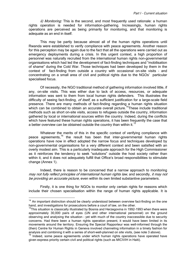ii) Monitoring: This is the second, and most frequently used rationale: a human rights operation is needed for information-gathering. Increasingly, human rights operations are perceived as being primarily for monitoring, and that monitoring is adequate as an end in itself.

This may be partly because almost all of the human rights operations until Rwanda were established to verify compliance with peace agreements. Another reason for this perception may be again due to the fact that all the operations were carried out as emergency deployments during a crisis. In this urgent context, a high proportion of personnel was naturally recruited from the international human rights non-governmental organisations which had led the development of fact-finding techniques and "mobilisation of shame" during the Cold War. Those techniques had been developed by them in the context of fact-finding from outside a country with occasional on-site visits - and concentrating on a small area of civil and political rights due to the NGOs' particular specialised focus.

Of necessity, the NGO traditional method of gathering information involved little, if any, on-site visits. This was either due to lack of access, resources, or adequate information was sent to them from local human rights defenders. This illustrates the difficulty of seeing fact-finding, of itself, as a sufficient justification for a large-scale field presence. There are many methods of fact-finding regarding a human rights situation which can be combined to obtain an accurate overall picture.<sup>14</sup>These include traditional methods such as short on-site visits, access to refugees outside the country, information gathered by local or international sources within the country. Indeed, during the conflicts which have featured these human rights operations, it has been frequently the case that a better overview can be obtained outside the country than within it.<sup>15</sup>

Whatever the merits of this in the specific context of verifying compliance with peace agreements,<sup>16</sup> the result has been that inter-governmental human rights operations have now in effect adopted the narrow focus and techniques developed by non-governmental organisations for a very different context and been satisfied with an overly modest aim. This is a particularly inadequate approach for the High Commissioner as it reinforces the tendency to seek "solutions" outside the host society rather than within it, and it does not adequately fulfill that Office's broad responsibilities to stimulate change (Annex 1).

Indeed, there is reason to be concerned that a narrow approach to monitoring may not fully reflect principles of international human rights law, and secondly, it may not be providing an accurate picture, even within its own limited substantive parameters.

Firstly, it is one thing for NGOs to monitor only certain rights for reasons which include their chosen specialisation within the range of human rights applicable. It is

<sup>&</sup>lt;sup>14</sup> An important distinction should be clearly understood between overview fact-finding on the one hand, and investigations for prosecutions before a court of law, on the other.

<sup>&</sup>lt;sup>15</sup>This situation is classically illustrated by Bosnia and Herzegovina in 1992-1993 when there were approximately 30,000 pairs of eyes (UN and other international personnel) on the ground observing and analysing the situation - yet with much of the country inaccessible due to security concerns. Had there been a human rights operation present, it would have been limited in its movements around the territory. Ensuring the Special Rapporteur was well-informed through the (then) Centre for Human Rights in Geneva involved channeling information in a timely fashion for analysis and combining it with a series of short-well-planned on site visits, (see note 3 above).

<sup>&</sup>lt;sup>16</sup> Indeed, some peace agreements under which human rights operations have operated have given express priority certain civil and political rights (such as MICIVIH in Haiti).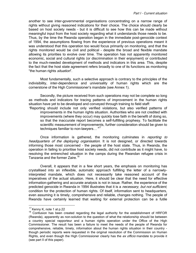another to see inter-governmental organisations concentrating on a narrow range of rights without giving reasoned indications for their choice. The choice should clearly be based on host society needs - but it is difficult to see how this can be made without meaningful input from the host society regarding what it understands those needs to be. Thus, by the time the Rwanda operation began in the immediate post-genocide context of 1994, the assumptions flowing from the experience of previous operations meant it was understood that this operation too would focus primarily on monitoring, and that the rights monitored would be civil and political - despite the broad and flexible mandate allowing its priorities to evolve over time. The operation has not apparently monitored economic, social and cultural rights (or discrimination in their enjoyment) or contributed to the much-needed development of methods and indicators in this area. This, despite the fact that the host state agreement refers broadly to one of its functions as monitoring "the human rights *situation*".

Most fundamentally, such a selective approach is contrary to the principles of the indivisibility, inter-dependence and universality of human rights which are the cornerstone of the High Commissioner's mandate (see Annex 1).

Secondly, the picture received from such operations may not be complete so long as methods and indicators for tracing patterns of improvement in the human rights situation have yet to be developed and conveyed through training to field staff:

'Reporting should include not only verified violations, but also verified patterns of improvements in the human rights situation. Authorities who are not credited with improvements (where they occur) may quickly lose faith in the benefit of doing so. so that the inaccurate report becomes a self-fulfilling prophesy. To facilitate the scientific measurement of improvements, further consideration should be given to techniques familiar to non-lawyers..."<sup>17</sup>

Once information is gathered, the monitoring culminates in reporting to headquarters of the deploying organisation. It is not designed, or directed towards informing those most concerned - the people of the host state. Thus, in Rwanda, the operation in failing to prioritise host society needs, did not contribute as it might have, to resolving the entrenched situation in the camps during the Rwandan refugee crisis in Tanzania and the former Zaire.<sup>18</sup>

Overall, it appears that in a few short years, the emphasis on monitoring has crystallised into an inflexible, automatic approach fulfilling the letter of a narrowlyinterpreted mandate, which does not necessarily take reasoned account of the imperatives of the actual situation. Here, it should be clear that the need for effective information-gathering and accurate analysis is not in issue. Rather, the experience of the predicted genocide in Rwanda in 1994 illustrates that it is a necessary, but not sufficient, condition for the protection of human rights. Of itself, information sent to headquarters, even assuming it is timely, comprehensive and reliable, changes nothing. The people of Rwanda have certainly learned that waiting for external protection can be a futile

 $17$  Kenny K, note 1 at p.22

<sup>&</sup>lt;sup>18</sup> Confusion has been created regarding the legal authority for the establishment of HRFOR (Rwanda), apparently as non-solution to the question of what the relationship should be between a country special rapporteur and a human rights operation under the Office of the High Commissioner. The result has been a failure to meet the needs of the people of Rwanda for comprehensive, reliable, timely, information about the human rights situation in their country though periodic reports were requested in the original resolution of the Commission on Human Rights, and even though the High Commissioner clearly has the ex officio mandate to provide it (see part II of this paper).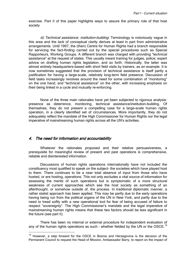exercise. Part II of this paper highlights ways to assure the primary role of that host society

iii) Technical assistance, institution-building. Terminology is notoriously vague in this area and the lack of conceptual clarity derives at least in part from administrative arrangements. Until 1997, the (then) Centre for Human Rights had a branch responsible for servicing the fact-finding carried out by the special procedures such as Special Rapporteurs, Working Groups. A different branch was charged with providing "technical assistance" at the request of states. This usually meant training for judges, police; expert advice on drafting human rights legislation, and so forth. Historically, the latter was almost entirely headquarters-based with short field visits by trainers, as an example. It is now sometimes suggested that the provision of technical assistance is itself partly a justification for having a large-scale, relatively long-term field presence. Discussion of field tasks increasingly revolves around the need for some combination of "monitoring" on the one hand, and "technical assistance" on the other, with increasing emphasis on their being linked in a cycle and mutually re-enforcing.

None of the three main rationales have yet been subjected to rigorous analysis: presence as deterrence, monitoring, technical assistance/institution-building. Of themselves, they do not present a compelling case for a large-scale human rights operation, in a clearly identified set of circumstances. More importantly, they do not adeguately reflect the mandate of the High Commissioner for Human Rights nor the legal imperative of mainstreaming human rights across all the UN's activities.

#### 4. The need for information and accountability

Whatever the rationales proposed and their relative persuasiveness, a prerequisite for meaningful review of present and past operations is comprehensive, reliable and disinterested information.

Discussions of human rights operations internationally have not included the constituency most qualified to speak on the subject- the societies which have played host to them. There continues to be a near total absence of input from those who have hosted, or are hosting, operations. This not only excludes a vital source of information for assessing the merits of such operations but is symptomatic of a more structural weakness of current approaches which see the host society as something of an afterthought, or somehow outside of, the process. In traditional diplomatic manner, a rather statist approach has been applied. This may be partly due to the early operations having being run from the political organs of the UN in New York, and partly due to the need to tread softly with a new operational tool for fear of being accused of failure to respect "sovereignty". The High Commissioner's mandate and the legal imperative of mainstreaming human rights means that these two factors should be less significant in the future (see part II).

There has been no internal or external procedure for independent evaluation of any of the human rights operations as such - whether fielded by the UN or the OSCE.<sup>19</sup>

<sup>&</sup>lt;sup>19</sup> However, a step forward for the OSCE in Bosnia and Herzegovina is the decision of the Permanent Council to request the Head of Mission, Ambassador Barry, to report on the impact of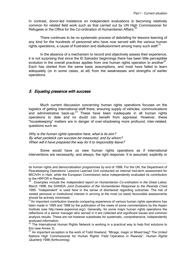In contrast, donor-led insistence on independent evaluations is becoming relatively common for related field work such as that carried out by UN High Commissioner for Refugees or the Office for the Co-ordination of Humanitarian Affairs.<sup>2</sup>

There continues to be no systematic process of debriefing for lessons learning of any kind for the hundreds of personnel who have now served with the various human rights operations, a cause of frustration and disillusionment among many such staff.<sup>21</sup>

In the absence of a mechanism to record and objectively assess their experience, it is not surprising that since the EI Salvador beginnings there has been little perceptible evolution in the overall practices applies from one human rights operation to another<sup>22</sup>. Each has started from the same basic assumptions, and most have failed to learn adequately (or in some cases, at all) from the weaknesses and strengths of earlier operations.

#### 5. Equating presence with success

Much current discussion concerning human rights operations focuses on the logistics of getting international staff there, ensuring supply of vehicles, communications and administrative back-up.<sup>23</sup> These have been inadequate in all human rights operations to date and no doubt can benefit from appraisal. However, these "housekeeping" matters are in danger of over-shadowing more profound, inter-related, questions such as:

Why is the human rights operation here, what is its aim? By what yardstick can success be measured, and by whom? When will it have prepared the way for it to responsibly leave?

Some would have us view human rights operations as if international interventions are necessarily, and always, the right response. It is assumed, explicitly or

its human rights and democratisation programmes by end of 1998. For the UN, the Department of Peacekeeping Operations' Lessons Learned Unit conducted an internal mid-term assessment for MICIVIH in Haiti, while the European Commission twice independently evaluated its contribution to the HRFOR in Rwanda.

<sup>&</sup>lt;sup>20</sup>. Examples include the *Independent report on Humanitarian Co-ordination in the Great Lakes*, March 1998; the DANIDA Joint Evaluation of the Humanitarian Response to the Rwanda Crisis 1995. "Independent" is used here in the sense of disinterest regarding outcomes. The risk of vested personal or institutional interest in arriving at the most (or least) favourable assessments should be actively minimised.

<sup>&</sup>lt;sup>21</sup>An important contribution towards comparing experience of various human rights operations has been made in 1995 and 1998 by the publication of the views of some commentators by the Aspen Institute (see http://www.aspeninst.org/). Generally, for some major human rights operations the reflections of a senior manager who served in it are collected and significant issues and common analysis results. These are not however substitutes for systematic, comprehensive, independently analysed information.<br><sup>22</sup> The International Human Rights Network is working in a practical way to help find solutions to

this (see Annex 3).

<sup>23</sup> An important exception is the work of Todd Howland, "Mirage, magic or Mixed bag? The United Nations High Commissioner for Human Rights' Field Operation in Rwanda", Human Rights Quarterly 1998 (forthcoming).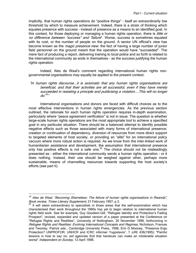implicitly, that human rights operations do "positive things" - itself an extraordinarily low threshold by which to measure achievement. Indeed, there is a strain of thinking which equates presence with success - instead of presence as a means to an identified goal. In this context, for those deploying or managing a human rights operation, there is *little or* no difference between "success" and "failure". Worse, success is sometimes equated with its cost, or the number of people on the ground. A senior UN official's view has become known as the *magic presence* view: the fact of having a large number of junior field personnel on the ground meant that the operation would have "succeeded". The mere fact of producing a report, delivering training to local police and so forth is related to the international community as ends in themselves - as the success justifying the human rights operation.

Indeed, Alex de Waal's comment regarding international human rights nongovernmental organisations may equally be applied to the present context:

#### "In human rights discourse...it is axiomatic that any human rights organisations are beneficial, and that their activities are all successful, even if they have merely succeeded in restating a principle and publicising a violation.... This will no longer  $d\sigma^{24}$

International organisations and donors are faced with difficult choices as to the most effective interventions in human rights emergencies. As the previous section outlined, the rationale for each human rights operation requires in-depth examination, particularly where "peace agreement verification" is not in issue. The question is whether large-scale human rights operations are the most appropriate tool to achieve a specified goal in any particular situation. There should be a balanced attempt to identify possible negative effects such as those associated with many forms of international presence: creation or continuation of dependency, diversion of resources from more direct support to targeted elements of host society, or providing an "alibi" for an international policy vacuum where more robust action is required. As we know from the inter-linked work of humanitarian assistance and development, the assumption that international presence only has positive effects is not a safe one.<sup>25</sup> The choice should not be misleadingly presented as - either the international community sends a human rights operation - or it does nothing. Instead, their use should be weighed against other, perhaps more sustainable, means of channelling resources towards supporting the host society's efforts (see part II).

<sup>&</sup>lt;sup>24</sup> Alex de Waal, "Becoming Shameless: The failure of human rights organisations in Rwanda", Book review, Times Literary Supplement, 21 February 1997, p.3.<br><sup>25</sup> It will seem extraordinary to specialists in those areas that the self-examination which has

characterised their work throughout the 1990s has yet to begin relation to international human rights field work. See for example, Guy Goodwin-Gill, "Refugee Identity and Protection's Fading Prospect", revised, expanded and updated version of a paper presented at the Conference on "Refugee Rights and Realities", University of Nottingham, 30 November 1996, forthcoming in Refugee Rights and Realities: Evolving International Concepts and Regimes, Nicholson, Frances and Twomey, Patrick eds., Cambridge University Press, 1998; Erin D Mooney, "Presence Ergo Protection? UNPROFOR, UNHCR and ICRC informer Yugoslavia", 7 IJRL 436(1995); "Painful lessons in how to say no: aid agencies find that handouts can make an intolerable situation worse" *Independent on Sunday*, 12 April 1998.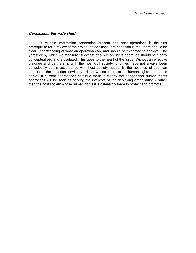#### **Conclusion: the watershed**

If reliable information concerning present and past operations is the first prerequisite for a review of their roles, an additional pre-condition is that there should be clear understanding of what an operation can, and should be expected to achieve. The yardstick by which we measure "success" of a human rights operation should be clearly conceptualised and articulated. This goes to the heart of the issue. Without an effective dialogue and partnership with the host civil society, priorities have not always been consciously set in accordance with host society needs. In the absence of such an approach, the question inevitably arises: whose interests do human rights operations serve? If current approaches continue there is clearly the danger that human rights operations will be seen as serving the interests of the deploying organisation - rather than the host society whose human rights it is ostensibly there to protect and promote.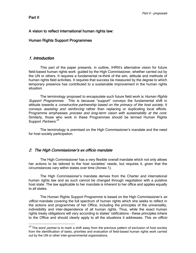#### Part II

#### A vision to reflect international human rights law:

#### **Human Rights Support Programmes**

#### 1. Introduction

This part of the paper presents, in outline, IHRN's alternative vision for future field-based human rights work guided by the High Commissioner, whether carried out by the UN or others. It requires a fundamental re-think of the aim, attitude and methods of human rights field activities. It requires that success be measured by the degree to which temporary presence has contributed to a sustainable improvement in the human rights situation.

The terminology proposed to encapsulate such future field work is Human Rights Support Programmes. This is because "support" conveys the fundamental shift in attitude towards a *constructive partnership based on the primacy of the host society*. It conveys *assisting and reinforcing* rather than replacing or duplicating local efforts. Programme emphasises process and long-term vision with sustainability at the core. Similarly, those who work in these Programmes should be termed Human Rights Support Partners.<sup>26</sup>

The terminology is premised on the High Commissioner's mandate and the need for host society participation.

#### 2. The High Commissioner's ex officio mandate

The High Commissioner has a very flexible overall mandate which not only allows her actions to be tailored to the host societies' needs, but requires it, given that the circumstances vary within states over time (Annex 1).

The High Commissioner's mandate derives from the Charter and international human rights law and as such cannot be changed through negotiation with a putative host state. The law applicable to her mandate is inherent to her office and applies equally to all states.

The Human Rights Support Programme is based on the High Commissioner's ex officio mandate covering the full spectrum of human rights which she seeks to reflect in the actions and programmes of her Office, including the principles of the universality, indivisibility and inter-dependence of all human rights. Thus, while the exact human rights treaty obligations will vary according to states' ratifications - these principles inhere to the Office and should clearly apply to all the situations it addresses. This ex officio

 $^{26}$  The word *partner* is to mark a shift away from the previous pattern of exclusion of host society from the identification of tasks, priorities and evaluation of field-based human rights work carried out by the UN or other inter-governmental organisations.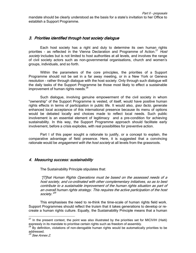mandate should be clearly understood as the basis for a state's invitation to her Office to establish a Support Programme.

#### 3. Priorities identified through host society dialogue

Each host society has a right and duty to determine its own human rights priorities - as reflected in the Vienna Declaration and Programme of Action.<sup>27</sup> Host society includes but is not limited to host authorities at all levels, and involves the range of civil society actors such as non-governmental organisations, church and women's groups, individuals, and so forth.

Within the parameters of the core principles, the priorities of a Support Programme should not be set in a far away meeting, or in a New York or Geneva resolution - rather through dialogue with the host society. Only through such dialogue will the daily tasks of the Support Programme be those most likely to effect a sustainable improvement of human rights needs.<sup>28</sup>

Such dialogue, involving genuine empowerment of the civil society in whom "ownership" of the Support Programme is vested, of itself, would have positive human rights effects in terms of participation in public life. It would also, *ipso facto*, generate enhanced local acceptance of this international presence because its menu of options would be debated locally and choices made to reflect local needs. Such public involvement is an essential element of legitimacy and a pre-condition for achieving sustainability. In this way, the Support Programme approach should facilitate early involvement, before a crisis explodes, with real possibilities for preventive action.

Part I of this paper sought a rationale to justify, or a concept to explain, the comparative advantage of field presence. Here, it is suggested that a convincing rationale would be *engagement with the host society* at all levels from the grassroots.

#### 4. Measuring success: sustainability

The Sustainability Principle stipulates that:

"[T]hat Human Rights Operations must be based on the assessed needs of a host society, and co-ordinated with other complementary initiatives, so as to best contribute to a sustainable improvement of the human rights situation as part of an overall human rights strategy. This requires the active participation of the host society."<sup>29</sup>

This emphasises the need to re-think the time-scale of human rights field work. Support Programmes should reflect the truism that it takes generations to develop or recreate a human rights culture. Equally, the Sustainability Principle means that a human

 $27$  In the present context, the point was also illustrated by the priorities set for MICIVIH (Haiti) expressly in its mandate to prioritise certain rights such as freedom of assembly.

<sup>&</sup>lt;sup>28</sup> Bv definition, violations of non-derogable human rights would be automatically priorities to be addressed.

<sup>&</sup>lt;sup>29</sup> See Annex 2.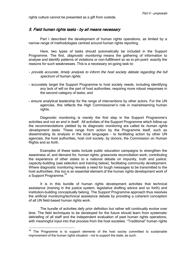rights culture cannot be presented as a gift from outside.

#### 5. Field human rights tasks - by all means necessary

Part I described the development of human rights operations, as limited by a narrow range of methodologies centred around human rights reporting.

Here, two types of tasks should automatically be included in the Support Programme. The first, *diagnostic monitoring* means the gathering of information to analyse and identify patterns of violations or non-fulfillment so as to pin-point exactly the reasons for such weaknesses. This is a necessary on-going task to:

- provide accurate, timely analysis to inform the host society debate regarding the full spectrum of human rights;
- accurately target the Support Programme to host society needs, including identifying any lack of will on the part of host authorities, requiring more robust responses in the second category of tasks; and
- ensure analytical leadership for the range of interventions by other actors. For the UN agencies, this reflects the High Commissioner's role in mainstreaming human rights.

Diagnostic monitoring is merely the first step in the Support Programme's activities and not an end in itself. All activities of the Support Programme which follow-up the recommendations yielded by its diagnostic monitoring are called its *human rights* development tasks. These range from action by the Programme itself, such as disseminating its analysis in the local languages - to facilitating action by other UN agencies, the host authorities, host civil society, by donors, the Commission on Human Rights and so forth.

Examples of these tasks include public education campaigns to strengthen the awareness of, and demand for, human rights; grassroots reconciliation work, contributing the experience of other states to a national debate on impunity, truth and justice; capacity-building (see selection and training below), facilitating community development. Where diagnostic monitoring reveals a need for tough messages to be transmitted to the host authorities, this too is an essential element of the human rights development work of a Support Programme.<sup>30</sup>

It is in this bundle of human rights development activities that technical assistance (training in the justice system, legislative drafting advice and so forth) and institution-building conceptually belong. The Support Programme approach thus resolves the artificial monitoring/technical assistance debate by providing a coherent conception of all UN field-based human rights work.

The bundle of activities defy prior definition but rather will continually evolve over time. The field techniques to be developed for the future should learn from systematic debriefing of all staff and the independent evaluation of past human rights operations, with meaningful input into that process from the host societies. "Traditional" human rights

<sup>&</sup>lt;sup>30</sup> The Programme is to support elements of the host sociey committed to sustainable improvement of the human rights situation - not to support the state, as such.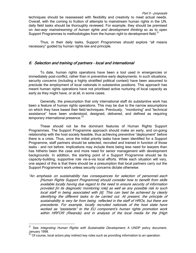techniques should be reassessed with flexibility and creativity to meet actual needs. Overall, with the coming to fruition of attempts to mainstream human rights in the UN, daily field tasks should be thoroughly reviewed. For example, they should be premised on two-way mainstreaming of human rights and development thinking so as to open Support Programmes to methodologies from the human right to development field.<sup>31</sup>

Thus, in their daily tasks, Support Programmes should explore "all means necessary" guided by human rights law and principle.

#### 6. Selection and training of partners - local and international

To date, human rights operations have been a tool used in emergencies or immediately post-conflict, rather than in preventive early deployments. In such situations, security concerns (including a highly stratified political context) have been assumed to preclude the employment of local nationals in substantive positions. This approach has meant human rights operations have not prioritised active nurturing of local capacity as early as they might have, or at all, in some cases.

Generally, the presumption that only international staff do substantive work has been a feature of human rights operations. This may be due to the narrow assumptions on which they have based their field techniques. Previously, "monitoring" and "technical assistance" have been understood, designed, delivered, and defined as requiring temporary international presence.<sup>32</sup>

These should not be the dominant features of Human Rights Support Programmes. The Support Programme approach should make an early, and on-going relationship with the host society feasible, thus achieving preventive "deployment" before there is a crisis. Thus, once the initial priority tasks have been identified for a Support Programme, staff partners should be selected, recruited and trained in function of those tasks - and not before. Implications may include there being less need for lawyers than has hitherto been the case and more need for senior management with development backgrounds. In addition, the starting point of a Support Programme should be its capacity-building, supportive role vis-à-vis local efforts. While each situation will vary, one aspect of this is that there should be a presumption that local partners carry out the Support Programme's work unless security concerns dictate otherwise:

"An emphasis on sustainability has consequences for selection of personnel: each [Human Rights Support Programme] should consider how to benefit from skills available locally having due regard to the need to ensure security of information provided [in its diagnostic monitoring role] as well as any possible risk to such local staff in being associated with [it]. This can best be achieved by clearly identifying the different tasks to be carried out. At present, the principle of sustainability is very far from being reflected in the staff of HROs, but there are precedents. For example, locally recruited nationals of the host state have worked as "assistants" to the EU component's human rights promotion work within HRFOR (Rwanda) and in analysis of the local media for the [High

<sup>&</sup>lt;sup>31</sup> See *Intearatina Human Rights with Sustainable Development*, A UNDP policy document, January 1998.

<sup>&</sup>lt;sup>32</sup> Of course, local actors play indirect key roles such as providing information to an operation.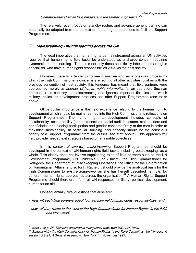## Part II - proposals<br>Commissioner's] small field presence in the former Yugoslavia."<sup>33</sup>

The relatively recent focus on standby rosters and advance generic training can potentially be adapted from the context of human rights operations to facilitate Support Programmes.

#### 7. Mainstreaming - mutual learning across the UN

The legal imperative that human rights be mainstreamed across all UN activities requires that human rights field tasks be understood as a shared concern requiring systematic mutual learning. Thus, it is not only those specifically labeled 'human rights specialists' who have human rights responsibilities vis-a-vis the host society.

However, there is a tendency to see mainstreaming as a one-way process by which the High Commissioner's concerns are fed into all other activities. Just as with the previous conception of host society, this tendency has meant that field partners were approached merely as *sources of human rights information* for an operation. Such an approach runs contrary to mainstreaming and ignores important field lessons which military, police, or development practices can offer Support Programmes (see tasks above).

Of particular importance is the field experience relating to the human right to development which should be mainstreamed into the High Commissioner's reflections on Support Programmes. The human right to development includes concepts of sustainability, accountability (see next section), social audit indicators, stakeholders and beneficiaries and placing participation and gender concerns firmly at the core in order to maximise sustainability. In particular, building local capacity should be the conscious priority of a Support Programme from the outset (see staff above). This approach will help provide needed exit strategies based on attainable objectives.

In this context of two-way mainstreaming, Support Programmes should be developed in the context of UN human rights field tasks, including peacekeeping, as a whole. This clearly does not involve supplanting roles of field partners such as the UN Development Programme, UN Children's Fund (Unicef), the High Commissioner for Refugees, the Department of Peacekeeping Operations, the Office for the Co-ordination of Humanitarian Affairs, and so forth. Rather, it should provide the analytical basis for the High Commissioner to *ensure leadership*, as she has herself described her role, for coherent human rights approaches across the organisation.<sup>34</sup> A Human Rights Support Programme should therefore inform all UN responses - military, political, development, humanitarian aid.

Consequentially, vital questions that arise are:

- how will such field partners adapt to meet their field human rights responsibilities; and

- how will they relate to the work of the High Commissioner for Human Rights in the field, and vice versa?

 $^{33}$  Note 1, at p. 26. This also occurred in exceptional wavs with MICIVIH (Haiti).

<sup>&</sup>lt;sup>34</sup> Statement by the High Commissioner for Human Rights to the Third Committee, the fifty-second session of the UN General Assembly, New York, 14 November 1997.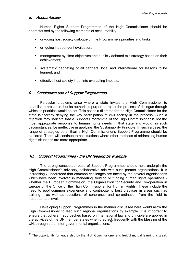#### 8. Accountability

Human Rights Support Programmes of the High Commissioner should be characterised by the following elements of accountability:

- on-going host society dialogue on the Programme's priorities and tasks;
- on-going independent evaluation;
- " management by clear objectives and publicly debated exit strategy based on their achievement:
- " systematic debriefing of all partners, local and international, for lessons to be learned; and
- effective host society input into evaluating impacts.

#### 9. Considered use of Support Programmes

Particular problems arise where a state invites the High Commissioner to establish a presence, but its authorities purport to reject the process of dialogue through which its priorities would be set. This poses a dilemma for the High Commissioner for the state is thereby denying the key participation of civil society in the process. Such a rejection may indicate that a Support Programme of the High Commissioner is not the most appropriate response to human rights needs in that state and would, in such circumstances, be ineffective in applying the Sustainability Principle. In such a case, the range of strategies other than a High Commissioner's Support Programme should be explored. There will continue to be situations where other methods of addressing human rights situations are more appropriate.

#### 10. **Support Programmes - the UN leading by example**

The strong conceptual base of Support Programmes should help underpin the High Commissioner's advisory, collaborative role with such partner organisations. It is increasingly understood that common challenges are faced by the several organisations which have been involved in mandating, fielding or funding human rights operations whether the European Commission, the Organisation for Security and Co-operation in Europe or the Office of the High Commissioner for Human Rights. These include the need to pool common experience and contribute to best practices in areas such as training - as well as questions of coherence and co-ordination from the field to headquarters levels.

Developing Support Programmes in the manner discussed here would allow the High Commissioner to lead such regional organisations by example. It is important to ensure that coherent approaches based on international law and principle are applied in the activities of the UN member states when they act, frequently with the blessing of the UN, through other inter-governmental organisations.<sup>35</sup>

<sup>&</sup>lt;sup>35</sup> The opportunity for leadership by the High Commissioner and fruitful mutual learning is great.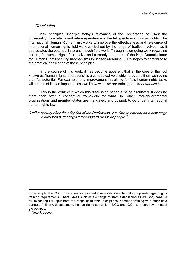#### **Conclusion**

Key principles underpin today's relevance of the Declaration of 1948: the universality, indivisibility and inter-dependence of the full spectrum of human rights. The International Human Rights Trust works to improve the effectiveness and relevance of international human rights field work carried out by the range of bodies involved - as it appreciates the potential inherent in such field work. Through its on-going work regarding training for human rights field tasks; and currently in support of the High Commissioner for Human Rights seeking mechanisms for lessons-learning, IHRN hopes to contribute to the practical application of these principles.

In the course of this work, it has become apparent that at the core of the tool known as "human rights operations" is a conceptual void which prevents them achieving their full potential. For example, any improvement in training for field human rights tasks will remain of limited impact unless we know what we are training for, *what our aim is.* 

This is the context in which this discussion paper is being circulated. It does no more than offer a conceptual framework for what UN, other inter-governmental organisations and member states are mandated, and obliged, to do under international human rights law:

"Half a century after the adoption of the Declaration, it is time to embark on a new stage in our journey to bring it's message to life for all people" 36

For example, the OSCE has recently appointed a senior diplomat to make proposals regarding its training requirements. There, ideas such as exchange of staff, establishing as advisory panel, a forum for regular input from the range of relevant disciplines, common training with other field partners (military, development, human rights specialist - NGO and IGO) to break down mutual stereotypes.

 $36$  Note 7, above.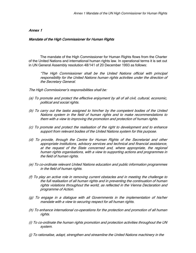#### Annex 1

#### Mandate of the High Commissioner for Human Rights

The mandate of the High Commissioner for Human Rights flows from the Charter of the United Nations and international human rights law. In operational terms it is set out in UN General Assembly resolution 48/141 of 20 December 1993 as follows:

"The High Commissioner shall be the United Nations official with principal responsibility for the United Nations human rights activities under the direction of the Secretary General.

The High Commissioner's responsibilities shall be:

- (a) To promote and protect the effective enjoyment by all of all civil, cultural, economic, political and social rights.
- (b) To carry out the tasks assigned to him/her by the competent bodies of the United Nations system in the field of human rights and to make recommendations to them with a view to improving the promotion and protection of human rights.
- (c) To promote and protect the realisation of the right to development and to enhance support from relevant bodies of the United Nations system for this purpose.
- (d) To provide, through the Centre for Human Rights of the Secretariat and other appropriate institutions, advisory services and technical and financial assistance, at the request of the State concerned and, where appropriate, the regional human rights organisations, with a view to supporting actions and programmes in the field of human rights.
- (e) To co-ordinate relevant United Nations education and public information programmes in the field of human rights.
- (f) To play an active role in removing current obstacles and in meeting the challenge to the full realisation of all human rights and in preventing the continuation of human rights violations throughout the world, as reflected in the Vienna Declaration and programme of Action.
- (g) To engage in a dialogue with all Governments in the implementation of his/her mandate with a view to securing respect for all human rights.
- (h) To enhance international co-operations for the protection and promotion of all human rights.
- (i) To co-ordinate the human rights promotion and protection activities throughout the UN system.
- (i) To rationalise, adapt, strengthen and streamline the United Nations machinery in the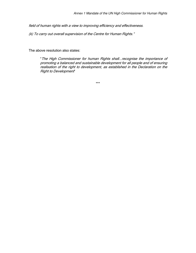field of human rights with a view to improving efficiency and effectiveness.

(k) To carry out overall supervision of the Centre for Human Rights."

The above resolution also states:

"The High Commissioner for human Rights shall...recognise the importance of promoting a balanced and sustainable development for all people and of ensuring realisation of the right to development, as established in the Declaration on the Right to Development'

 $***$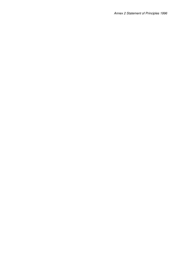*Annex 2 Statement of Principles 1996*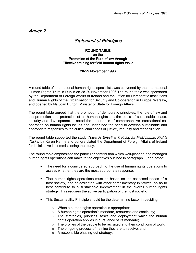### Annex 2

### **Statement of Principles**

#### **ROUND TABLE** on the Promotion of the Rule of law through Effective training for field human rights tasks

#### 28-29 November 1996

A round table of international human rights specialists was convened by the International Human Rights Trust in Dublin on 28-29 November 1996. The round table was sponsored by the Department of Foreign Affairs of Ireland and the Office for Democratic Institutions and Human Rights of the Organisation for Security and Co-operation in Europe, Warsaw, and opened by Ms Joan Burton, Minister of State for Foreign Affairs.

The round table agreed that the promotion of democratic principles, the rule of law and the promotion and protection of all human rights are the basis of sustainable peace. security and development. It noted the importance of comprehensive international cooperation on human rights issues and underlined the need to develop sustainable and appropriate responses to the critical challenges of justice, impunity and reconciliation.

The round table supported the study Towards Effective Training for Field human Rights Tasks, by Karen Kenny and congratulated the Department of Foreign Affairs of Ireland for its initiative in commissioning the study.

The round table emphasised the particular contribution which well-planned and managed human rights operations can make to the objectives outlined in paragraph 1, and noted:

- $\bullet$ The need for a considered approach to the use of human rights operations to assess whether they are the most appropriate response.
- $\bullet$ That human rights operations must be based on the assessed needs of a host society, and co-ordinated with other complimentary initiatives, so as to best contribute to a sustainable improvement in the overall human rights strategy. This requires the active participation of the host society.
- This Sustainability Principle should be the determining factor in deciding:
	- $\circ$  When a human rights operation is appropriate;
	- $\circ$  A human rights operation's mandate, resources and continuity;
	- o The strategies, priorities, tasks and deployment which the human rights operation applies in pursuance of its mandate;
	- o The profiles of the people to be recruited and their conditions of work;
	- o The on-going process of training they are to receive; and
	- $\circ$  A responsible phasing-out strategy.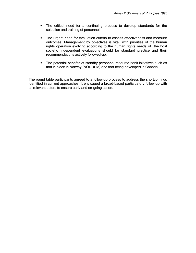- The critical need for a continuing process to develop standards for the selection and training of personnel.
- The urgent need for evaluation criteria to assess effectiveness and measure  $\bullet$ outcomes. Management by objectives is vital, with priorities of the human rights operation evolving according to the human rights needs of the host society. Independent evaluations should be standard practice and their recommendations actively followed-up.
- The potential benefits of standby personnel resource bank initiatives such as that in place in Norway (NORDEM) and that being developed in Canada.

The round table participants agreed to a follow-up process to address the shortcomings identified in current approaches. It envisaged a broad-based participatory follow-up with all relevant actors to ensure early and on-going action.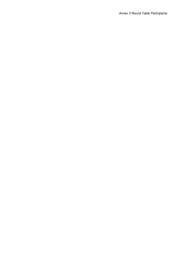*Annex 3 Round Table Participants*